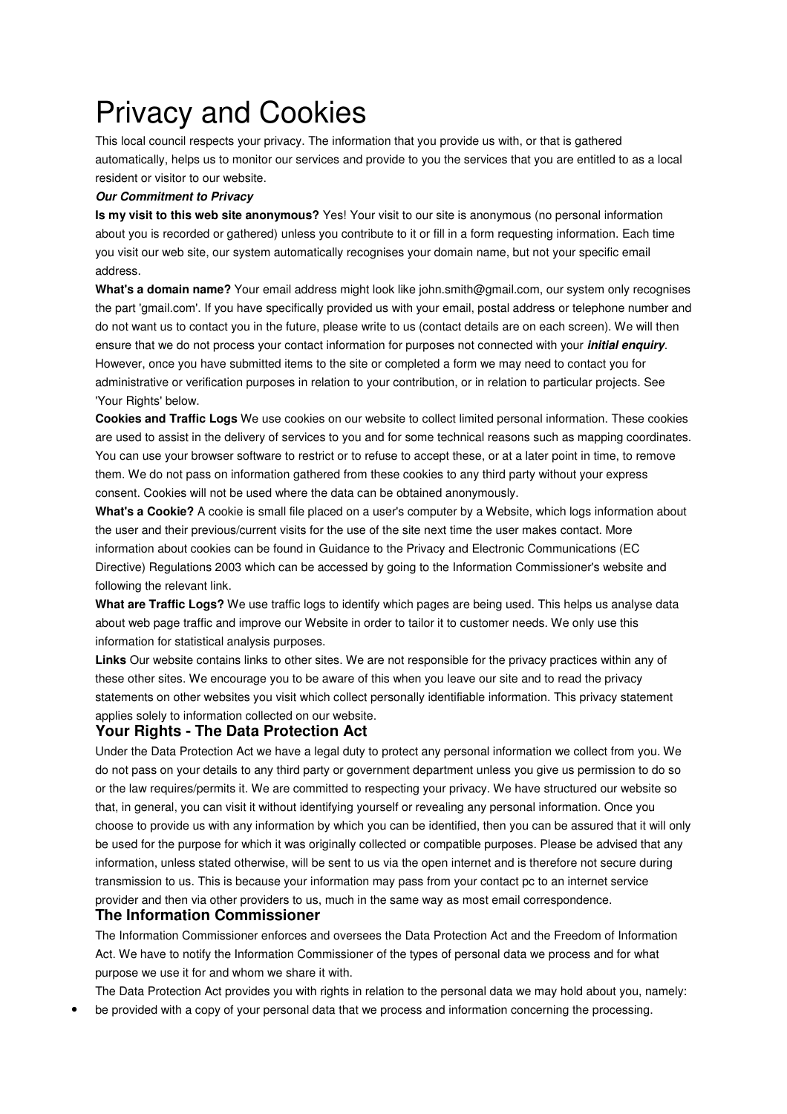## Privacy and Cookies

This local council respects your privacy. The information that you provide us with, or that is gathered automatically, helps us to monitor our services and provide to you the services that you are entitled to as a local resident or visitor to our website.

## **Our Commitment to Privacy**

**Is my visit to this web site anonymous?** Yes! Your visit to our site is anonymous (no personal information about you is recorded or gathered) unless you contribute to it or fill in a form requesting information. Each time you visit our web site, our system automatically recognises your domain name, but not your specific email address.

**What's a domain name?** Your email address might look like john.smith@gmail.com, our system only recognises the part 'gmail.com'. If you have specifically provided us with your email, postal address or telephone number and do not want us to contact you in the future, please write to us (contact details are on each screen). We will then ensure that we do not process your contact information for purposes not connected with your **initial enquiry**. However, once you have submitted items to the site or completed a form we may need to contact you for administrative or verification purposes in relation to your contribution, or in relation to particular projects. See 'Your Rights' below.

**Cookies and Traffic Logs** We use cookies on our website to collect limited personal information. These cookies are used to assist in the delivery of services to you and for some technical reasons such as mapping coordinates. You can use your browser software to restrict or to refuse to accept these, or at a later point in time, to remove them. We do not pass on information gathered from these cookies to any third party without your express consent. Cookies will not be used where the data can be obtained anonymously.

**What's a Cookie?** A cookie is small file placed on a user's computer by a Website, which logs information about the user and their previous/current visits for the use of the site next time the user makes contact. More information about cookies can be found in Guidance to the Privacy and Electronic Communications (EC Directive) Regulations 2003 which can be accessed by going to the Information Commissioner's website and following the relevant link.

**What are Traffic Logs?** We use traffic logs to identify which pages are being used. This helps us analyse data about web page traffic and improve our Website in order to tailor it to customer needs. We only use this information for statistical analysis purposes.

**Links** Our website contains links to other sites. We are not responsible for the privacy practices within any of these other sites. We encourage you to be aware of this when you leave our site and to read the privacy statements on other websites you visit which collect personally identifiable information. This privacy statement applies solely to information collected on our website.

## **Your Rights - The Data Protection Act**

Under the Data Protection Act we have a legal duty to protect any personal information we collect from you. We do not pass on your details to any third party or government department unless you give us permission to do so or the law requires/permits it. We are committed to respecting your privacy. We have structured our website so that, in general, you can visit it without identifying yourself or revealing any personal information. Once you choose to provide us with any information by which you can be identified, then you can be assured that it will only be used for the purpose for which it was originally collected or compatible purposes. Please be advised that any information, unless stated otherwise, will be sent to us via the open internet and is therefore not secure during transmission to us. This is because your information may pass from your contact pc to an internet service provider and then via other providers to us, much in the same way as most email correspondence.

## **The Information Commissioner**

The Information Commissioner enforces and oversees the Data Protection Act and the Freedom of Information Act. We have to notify the Information Commissioner of the types of personal data we process and for what purpose we use it for and whom we share it with.

The Data Protection Act provides you with rights in relation to the personal data we may hold about you, namely:

• be provided with a copy of your personal data that we process and information concerning the processing.